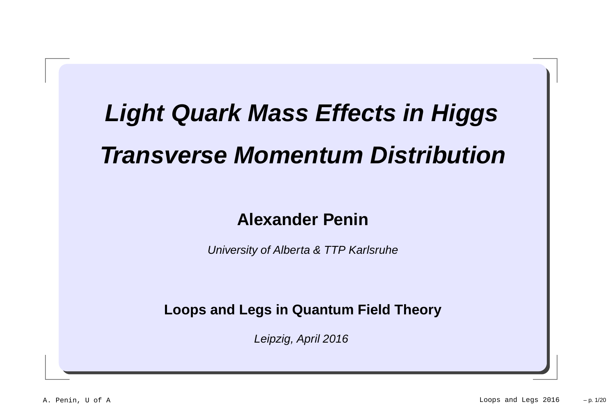# **Light Quark Mass Effects in HiggsTransverse Momentum Distribution**

#### **Alexander Penin**

University of Alberta & TTP Karlsruhe

**Loops and Legs in Quantum Field Theory**

Leipzig, April 2016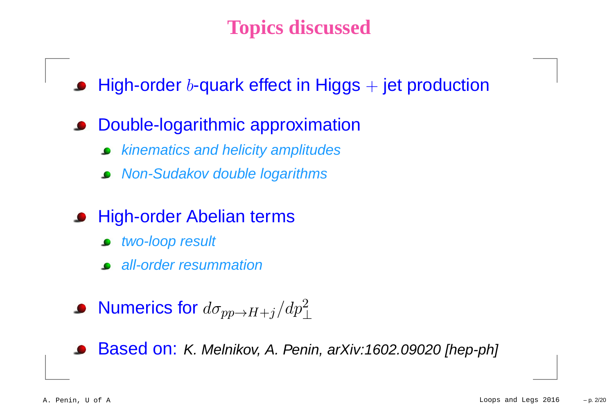# **Topics discussed**

- High-order  $b$ -quark effect in Higgs  $+$  jet production
- Double-logarithmic approximation
	- kinematics and helicity amplitudes
	- Non-Sudakov double logarithms
- High-order Abelian terms
	- two-loop result
	- all-order resummation
- Numerics for  $d\sigma_{pp \to H+j}/dp_\perp^2$

Based on: K. Melnikov, A. Penin, arXiv:1602.09020 [hep-ph]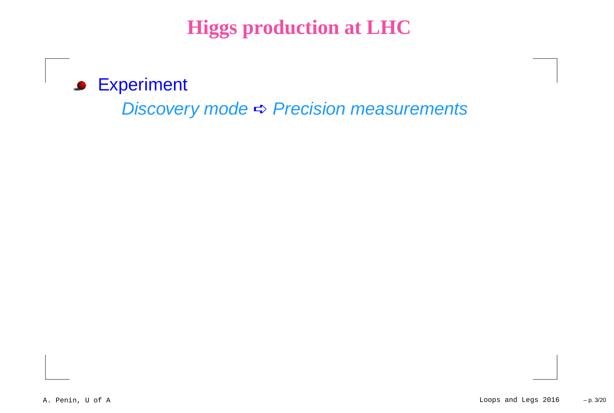**Higgs production at LHC**

**S** Experiment

Discovery mode➪ Precision measurements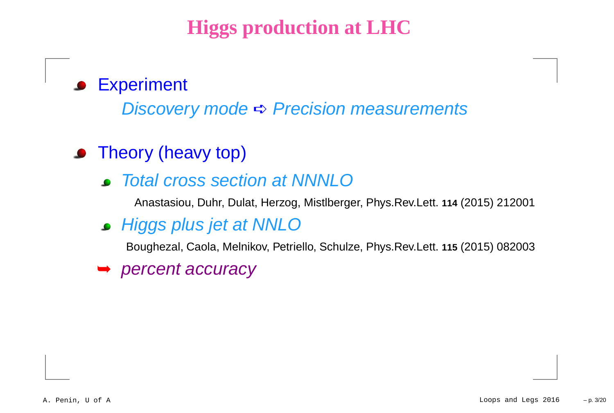# **Higgs production at LHC**

#### **Experiment**  $\bullet$

Discovery mode➪ Precision measurements

# • Theory (heavy top)

Total cross section at NNNLO

Anastasiou, Duhr, Dulat, Herzog, Mistlberger, Phys.Rev.Lett. **<sup>114</sup>** (2015) <sup>212001</sup>

**Higgs plus jet at NNLO** 

Boughezal, Caola, Melnikov, Petriello, Schulze, Phys.Rev.Lett. **<sup>115</sup>** (2015) <sup>082003</sup>

➥ percent accuracy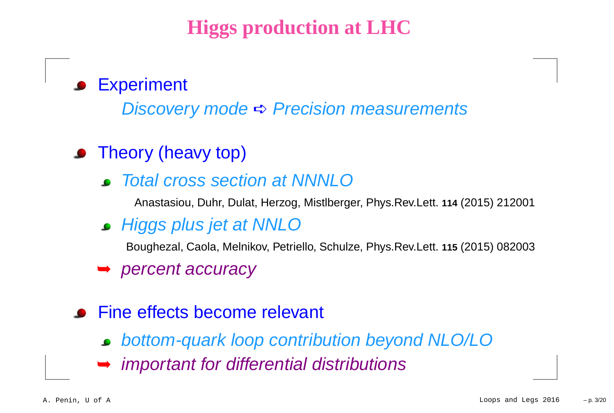# **Higgs production at LHC**

# **Experiment**

Discovery mode➪ Precision measurements

# • Theory (heavy top)

Total cross section at NNNLO

Anastasiou, Duhr, Dulat, Herzog, Mistlberger, Phys.Rev.Lett. **<sup>114</sup>** (2015) <sup>212001</sup>

Higgs plus jet at NNLO

Boughezal, Caola, Melnikov, Petriello, Schulze, Phys.Rev.Lett. **<sup>115</sup>** (2015) <sup>082003</sup>

➥ percent accuracy

### **•** Fine effects become relevant

- bottom-quark loop contribution beyond NLO/LO
- ➥important for differential distributions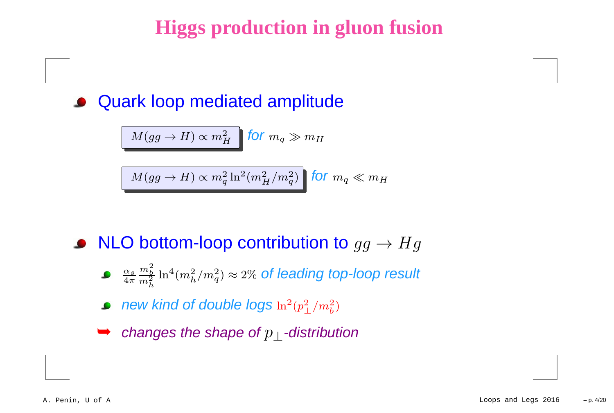# **Higgs production in gluon fusion**

#### Quark loop mediated amplitude $\bullet$

$$
M(gg \to H) \propto m_H^2 \quad \text{for } m_q \gg m_H
$$

 $M(gg\to H) \propto m_q^2$  $\frac{2}{q}$   $\ln^2$  $^2(m_F^2$  $\frac{2}{H}/m_q^2$  ${2 \choose q}$  for  $m_q \ll m_H$ 

# NLO bottom-loop contribution to  $gg \to Hg$

- α $\frac{\alpha_s}{4\pi}$  $\,m$ 2 $\frac{m_b}{m}$ h $\ln^4$  $^4(m_h^2$  $\frac{2}{h}/m_q^2$  $q^2_q$ )  $\approx$  2% of leading top-loop result
- new kind of double logs  $\ln^2$  (p2 $^2_\perp/m_b^2$  $\left(\begin{matrix} 2 \ b \end{matrix}\right)$
- ➥changes the shape of  $p_{\perp}$ -distribution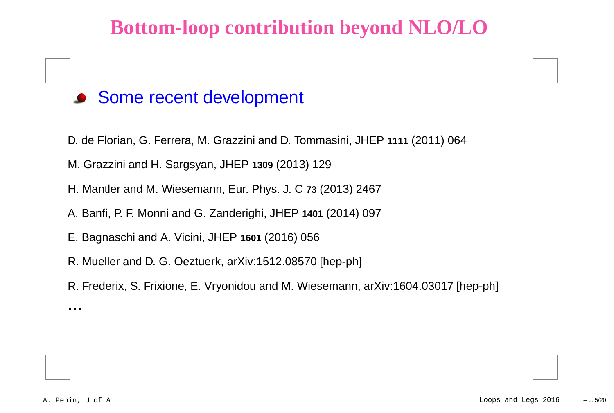# **Bottom-loop contribution beyond NLO/LO**

#### **Some recent development**

- D. de Florian, G. Ferrera, M. Grazzini and D. Tommasini, JHEP **<sup>1111</sup>** (2011) <sup>064</sup>
- M. Grazzini and H. Sargsyan, JHEP **<sup>1309</sup>** (2013) <sup>129</sup>
- H. Mantler and M. Wiesemann, Eur. Phys. J. C **<sup>73</sup>** (2013) <sup>2467</sup>
- A. Banfi, P. F. Monni and G. Zanderighi, JHEP **<sup>1401</sup>** (2014) <sup>097</sup>
- E. Bagnaschi and A. Vicini, JHEP **<sup>1601</sup>** (2016) <sup>056</sup>
- R. Mueller and D. G. Oeztuerk, arXiv:1512.08570 [hep-ph]
- R. Frederix, S. Frixione, E. Vryonidou and M. Wiesemann, arXiv:1604.03017 [hep-ph]

...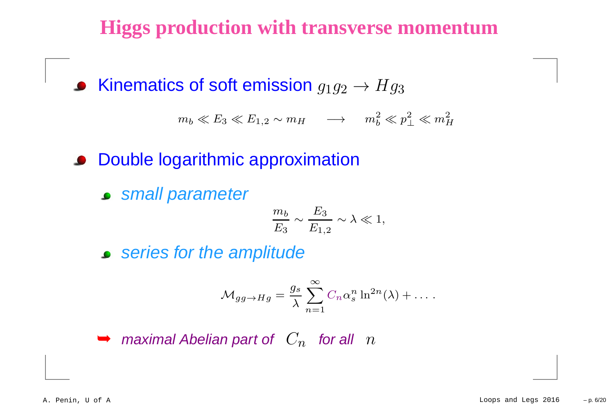# **Higgs production with transverse momentum**

Kinematics of soft emission  $g_1g_2\to Hg$ 3

> $m_b \ll E_3 \ll E_{1,2} \sim m_H \longrightarrow m_b^2$  $\textstyle{p\atop b}\ll p_\perp^2$  $_{\perp}^2\ll m_P^2$ H

**• Double logarithmic approximation** 

**Small parameter** 

$$
\frac{m_b}{E_3} \sim \frac{E_3}{E_{1,2}} \sim \lambda \ll 1,
$$

series for the amplitude

$$
\mathcal{M}_{gg \to Hg} = \frac{g_s}{\lambda} \sum_{n=1}^{\infty} C_n \alpha_s^n \ln^{2n}(\lambda) + \dots
$$

➥ $\blacktriangleright$  maximal Abelian part of  $\;C_n\;$  for all  $\;n\;$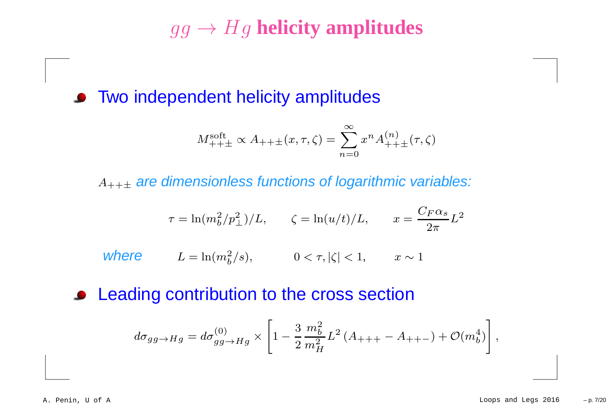# $gg \to Hg$  **helicity amplitudes**

**• Two independent helicity amplitudes** 

$$
M_{+++}^{\text{soft}} \propto A_{+++}(x, \tau, \zeta) = \sum_{n=0}^{\infty} x^n A_{+++}^{(n)}(\tau, \zeta)
$$

 $A_{+++}$  are dimensionless functions of logarithmic variables:

$$
\tau = \ln(m_b^2/p_\perp^2)/L, \qquad \zeta = \ln(u/t)/L, \qquad x = \frac{C_F \alpha_s}{2\pi}L^2
$$

where  $L = \ln(m_b^2 / s),$   $0 < \tau, |\zeta| < 1,$   $x \sim 1$ 

#### **• Leading contribution to the cross section**

$$
d\sigma_{gg\to Hg} = d\sigma_{gg\to Hg}^{(0)} \times \left[1 - \frac{3}{2} \frac{m_b^2}{m_H^2} L^2 (A_{+++} - A_{++-}) + \mathcal{O}(m_b^4)\right],
$$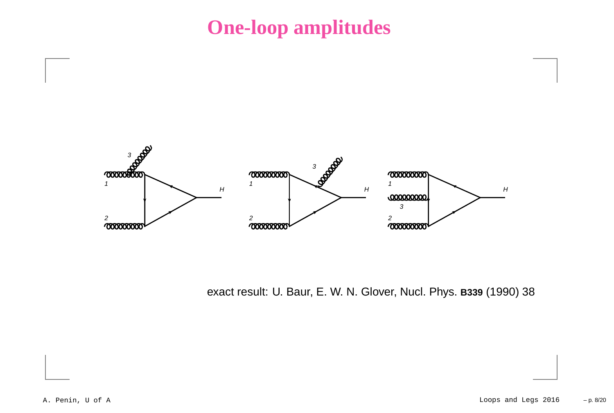# **One-loop amplitudes**



exact result: U. Baur, E. W. N. Glover, Nucl. Phys. **B339** (1990) <sup>38</sup>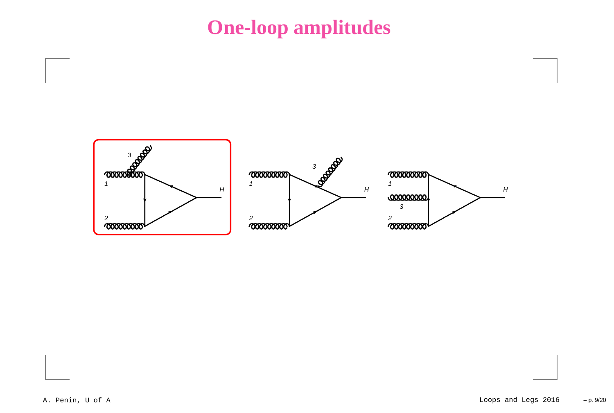**One-loop amplitudes**

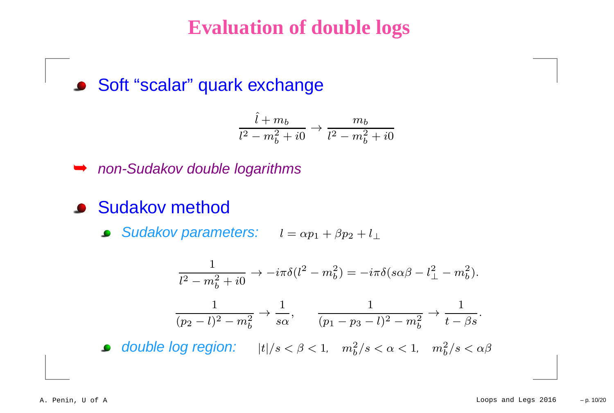#### **Evaluation of double logs**

#### Soft "scalar" quark exchange

$$
\frac{\hat{l} + m_b}{l^2 - m_b^2 + i0} \rightarrow \frac{m_b}{l^2 - m_b^2 + i0}
$$



- **Sudakov method** 
	- Sudakov parameters:  $l = \alpha p_1 + \beta p_2 + l_\perp$

$$
\frac{1}{l^2 - m_b^2 + i0} \to -i\pi \delta(l^2 - m_b^2) = -i\pi \delta(s\alpha\beta - l^2_{\perp} - m_b^2).
$$
  

$$
\frac{1}{(p_2 - l)^2 - m_b^2} \to \frac{1}{s\alpha}, \qquad \frac{1}{(p_1 - p_3 - l)^2 - m_b^2} \to \frac{1}{t - \beta s}.
$$

double log region:  $|t|/s < \beta < 1$ ,  $m_b^2$  $\frac{2}{b}/s < \alpha < 1, \quad m_b^2$  $\frac{2}{b}/s < \alpha\beta$  $\bullet$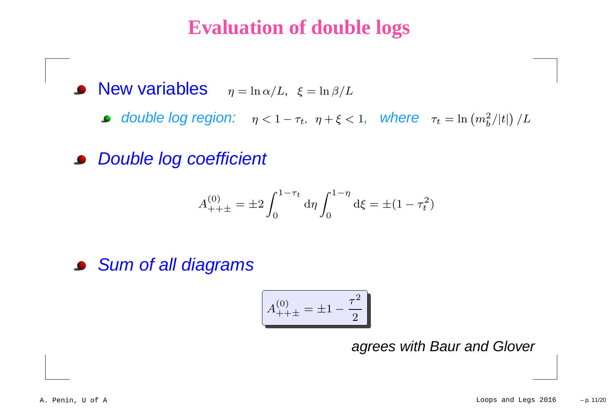## **Evaluation of double logs**

New variables  $\eta = \ln \alpha/L, \xi = \ln \beta/L$ 

- double log region:  $\eta < 1 \tau_t$ ,  $\eta + \xi < 1$ , where  $\tau_t = \ln(m_b^2)$  $\frac{2}{b}/|t| \big)$   $/L$
- **Double log coefficient**

$$
A_{+++}^{(0)} = \pm 2 \int_0^{1-\tau_t} d\eta \int_0^{1-\eta} d\xi = \pm (1-\tau_t^2)
$$

#### **Sum of all diagrams**

$$
A_{+++}^{(0)} = \pm 1 - \frac{\tau^2}{2}
$$

agrees with Baur and Glover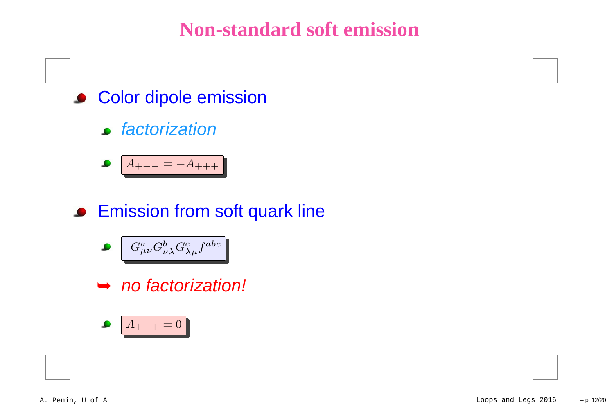# **Non-standard soft emission**

- **Color dipole emission** 
	- factorization

$$
\bullet \quad \boxed{A_{++-}=-A_{+++}}
$$

**• Emission from soft quark line** 

$$
\bullet \quad G^a_{\mu\nu} G^b_{\nu\lambda} G^c_{\lambda\mu} f^{abc}
$$

➥ no factorization!

$$
\bullet \quad \boxed{A_{+++}=0}
$$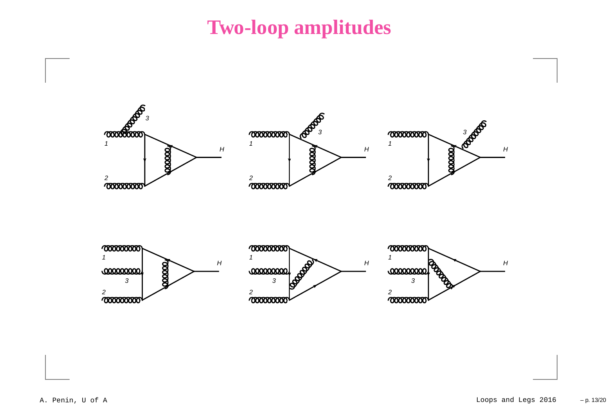# **Two-loop amplitudes**

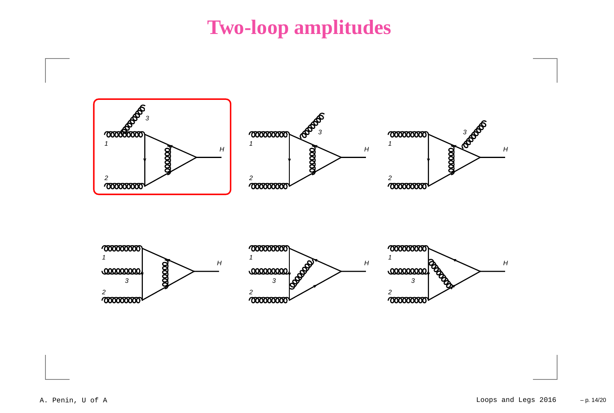# **Two-loop amplitudes**

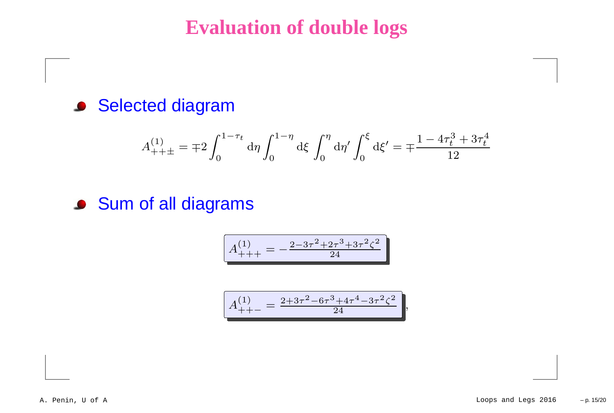### **Evaluation of double logs**

#### **Selected diagram**

$$
A_{+++}^{(1)} = \mp 2 \int_0^{1-\tau_t} d\eta \int_0^{1-\eta} d\xi \int_0^{\eta} d\eta' \int_0^{\xi} d\xi' = \mp \frac{1-4\tau_t^3 + 3\tau_t^4}{12}
$$

#### Sum of all diagrams

$$
A_{+++}^{(1)} = -\frac{2 - 3\tau^2 + 2\tau^3 + 3\tau^2\zeta^2}{24}
$$

$$
A_{++-}^{(1)} = \frac{2+3\tau^2 - 6\tau^3 + 4\tau^4 - 3\tau^2\zeta^2}{24},
$$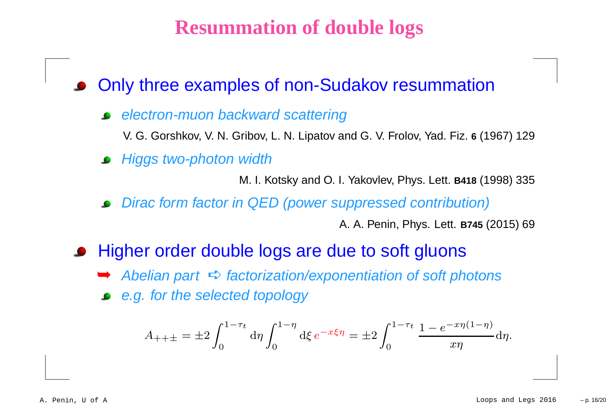### **Resummation of double logs**

Only three examples of non-Sudakov resummation

- electron-muon backward scattering
	- V. G. Gorshkov, V. N. Gribov, L. N. Lipatov and G. V. Frolov, Yad. Fiz. **6** (1967) <sup>129</sup>
- **•** Higgs two-photon width

M. I. Kotsky and O. I. Yakovlev, Phys. Lett. **B418** (1998) <sup>335</sup>

Dirac form factor in QED (power suppressed contribution)

A. A. Penin, Phys. Lett. **B745** (2015) <sup>69</sup>

- Higher order double logs are due to soft gluons
	- → Abelian part  $\Rightarrow$  factorization/exponentiation of soft photons
	- e.g. for the selected topology

$$
A_{+++} = \pm 2 \int_0^{1-\tau_t} d\eta \int_0^{1-\eta} d\xi \, e^{-x\xi\eta} = \pm 2 \int_0^{1-\tau_t} \frac{1 - e^{-x\eta(1-\eta)}}{x\eta} d\eta.
$$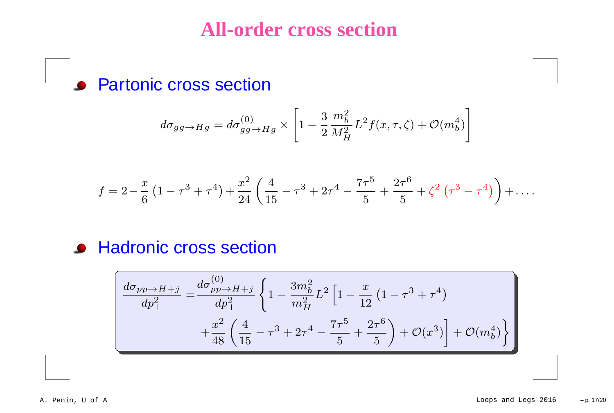#### **All-order cross section**

**• Partonic cross section** 

$$
d\sigma_{gg\to Hg} = d\sigma_{gg\to Hg}^{(0)} \times \left[1 - \frac{3}{2} \frac{m_b^2}{M_H^2} L^2 f(x, \tau, \zeta) + \mathcal{O}(m_b^4)\right]
$$

$$
f = 2 - \frac{x}{6} \left( 1 - \tau^3 + \tau^4 \right) + \frac{x^2}{24} \left( \frac{4}{15} - \tau^3 + 2\tau^4 - \frac{7\tau^5}{5} + \frac{2\tau^6}{5} + \zeta^2 \left( \tau^3 - \tau^4 \right) \right) + \dots
$$

#### **• Hadronic cross section**

$$
\frac{d\sigma_{pp \to H+j}}{dp_{\perp}^2} = \frac{d\sigma_{pp \to H+j}^{(0)}}{dp_{\perp}^2} \left\{ 1 - \frac{3m_b^2}{m_H^2} L^2 \left[ 1 - \frac{x}{12} \left( 1 - \tau^3 + \tau^4 \right) + \frac{x^2}{48} \left( \frac{4}{15} - \tau^3 + 2\tau^4 - \frac{7\tau^5}{5} + \frac{2\tau^6}{5} \right) + \mathcal{O}(x^3) + \mathcal{O}(m_b^4) \right\}
$$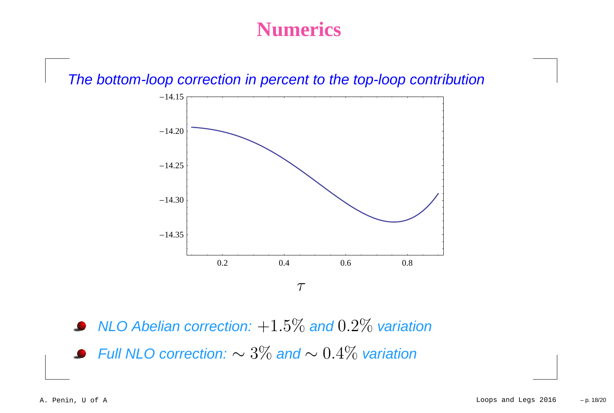### **Numerics**

The bottom-loop correction in percent to the top-loop contribution



NLO Abelian correction:  $+1.5\%$  and  $0.2\%$  variation Full NLO correction:  $\sim 3\%$  and  $\sim 0.4\%$  variation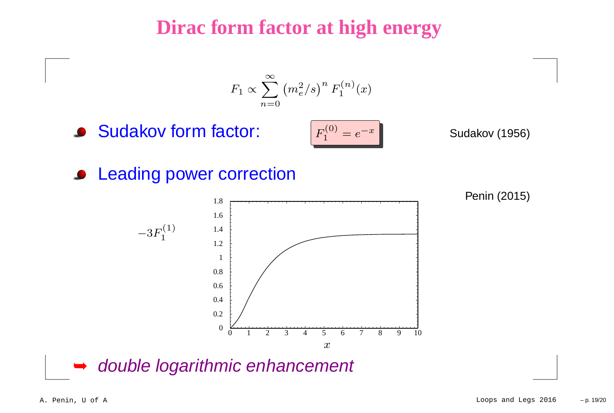## **Dirac form factor at high energy**

$$
F_1 \propto \sum_{n=0}^{\infty} (m_e^2/s)^n F_1^{(n)}(x)
$$

**Sudakov form factor:** 

$$
F_1^{(0)} = e^{-x}
$$

Sudakov (1956)





Penin (2015)

➥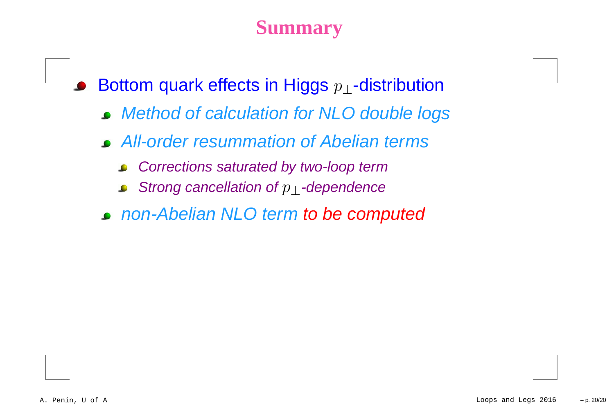# **Summary**

Bottom quark effects in Higgs  $p_\perp$ -distribution  $\bullet$ 

- Method of calculation for NLO double logs
- All-order resummation of Abelian terms
	- Corrections saturated by two-loop term $\bullet$
	- Strong cancellation of  $p_\perp$ -dependence  $\bullet$
- non-Abelian NLO term to be computed